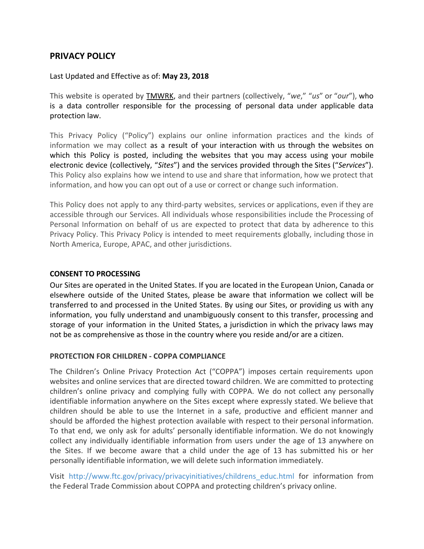# **PRIVACY POLICY**

Last Updated and Effective as of: **May 23, 2018**

This website is operated by TMWRK, and their partners (collectively, "*we*," "*us*" or "*our*"), who is a data controller responsible for the processing of personal data under applicable data protection law.

This Privacy Policy ("Policy") explains our online information practices and the kinds of information we may collect as a result of your interaction with us through the websites on which this Policy is posted, including the websites that you may access using your mobile electronic device (collectively, "*Sites*") and the services provided through the Sites ("*Services*"). This Policy also explains how we intend to use and share that information, how we protect that information, and how you can opt out of a use or correct or change such information.

This Policy does not apply to any third-party websites, services or applications, even if they are accessible through our Services. All individuals whose responsibilities include the Processing of Personal Information on behalf of us are expected to protect that data by adherence to this Privacy Policy. This Privacy Policy is intended to meet requirements globally, including those in North America, Europe, APAC, and other jurisdictions.

# **CONSENT TO PROCESSING**

Our Sites are operated in the United States. If you are located in the European Union, Canada or elsewhere outside of the United States, please be aware that information we collect will be transferred to and processed in the United States. By using our Sites, or providing us with any information, you fully understand and unambiguously consent to this transfer, processing and storage of your information in the United States, a jurisdiction in which the privacy laws may not be as comprehensive as those in the country where you reside and/or are a citizen.

### **PROTECTION FOR CHILDREN - COPPA COMPLIANCE**

The Children's Online Privacy Protection Act ("COPPA") imposes certain requirements upon websites and online services that are directed toward children. We are committed to protecting children's online privacy and complying fully with COPPA. We do not collect any personally identifiable information anywhere on the Sites except where expressly stated. We believe that children should be able to use the Internet in a safe, productive and efficient manner and should be afforded the highest protection available with respect to their personal information. To that end, we only ask for adults' personally identifiable information. We do not knowingly collect any individually identifiable information from users under the age of 13 anywhere on the Sites. If we become aware that a child under the age of 13 has submitted his or her personally identifiable information, we will delete such information immediately.

Visit [http://www.ftc.gov/privacy/privacyinitiatives/childrens\\_educ.html](http://www.ftc.gov/privacy/privacyinitiatives/childrens_educ.html) for information from the Federal Trade Commission about COPPA and protecting children's privacy online.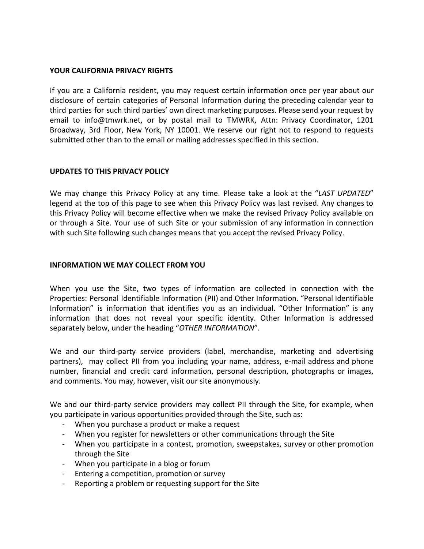### **YOUR CALIFORNIA PRIVACY RIGHTS**

If you are a California resident, you may request certain information once per year about our disclosure of certain categories of Personal Information during the preceding calendar year to third parties for such third parties' own direct marketing purposes. Please send your request by email to info@tmwrk.net, or by postal mail to TMWRK, Attn: Privacy Coordinator, 1201 Broadway, 3rd Floor, New York, NY 10001. We reserve our right not to respond to requests submitted other than to the email or mailing addresses specified in this section.

#### **UPDATES TO THIS PRIVACY POLICY**

We may change this Privacy Policy at any time. Please take a look at the "*LAST UPDATED*" legend at the top of this page to see when this Privacy Policy was last revised. Any changes to this Privacy Policy will become effective when we make the revised Privacy Policy available on or through a Site. Your use of such Site or your submission of any information in connection with such Site following such changes means that you accept the revised Privacy Policy.

#### **INFORMATION WE MAY COLLECT FROM YOU**

When you use the Site, two types of information are collected in connection with the Properties: Personal Identifiable Information (PII) and Other Information. "Personal Identifiable Information" is information that identifies you as an individual. "Other Information" is any information that does not reveal your specific identity. Other Information is addressed separately below, under the heading "*OTHER INFORMATION*".

We and our third-party service providers (label, merchandise, marketing and advertising partners), may collect PII from you including your name, address, e-mail address and phone number, financial and credit card information, personal description, photographs or images, and comments. You may, however, visit our site anonymously.

We and our third-party service providers may collect PII through the Site, for example, when you participate in various opportunities provided through the Site, such as:

- When you purchase a product or make a request
- When you register for newsletters or other communications through the Site
- When you participate in a contest, promotion, sweepstakes, survey or other promotion through the Site
- When you participate in a blog or forum
- Entering a competition, promotion or survey
- Reporting a problem or requesting support for the Site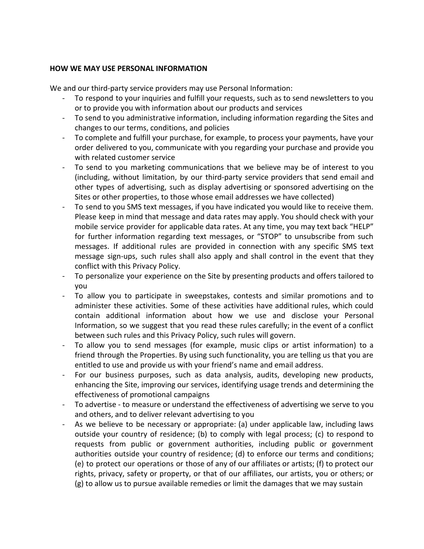### **HOW WE MAY USE PERSONAL INFORMATION**

We and our third-party service providers may use Personal Information:

- To respond to your inquiries and fulfill your requests, such as to send newsletters to you or to provide you with information about our products and services
- To send to you administrative information, including information regarding the Sites and changes to our terms, conditions, and policies
- To complete and fulfill your purchase, for example, to process your payments, have your order delivered to you, communicate with you regarding your purchase and provide you with related customer service
- To send to you marketing communications that we believe may be of interest to you (including, without limitation, by our third-party service providers that send email and other types of advertising, such as display advertising or sponsored advertising on the Sites or other properties, to those whose email addresses we have collected)
- To send to you SMS text messages, if you have indicated you would like to receive them. Please keep in mind that message and data rates may apply. You should check with your mobile service provider for applicable data rates. At any time, you may text back "HELP" for further information regarding text messages, or "STOP" to unsubscribe from such messages. If additional rules are provided in connection with any specific SMS text message sign-ups, such rules shall also apply and shall control in the event that they conflict with this Privacy Policy.
- To personalize your experience on the Site by presenting products and offers tailored to you
- To allow you to participate in sweepstakes, contests and similar promotions and to administer these activities. Some of these activities have additional rules, which could contain additional information about how we use and disclose your Personal Information, so we suggest that you read these rules carefully; in the event of a conflict between such rules and this Privacy Policy, such rules will govern.
- To allow you to send messages (for example, music clips or artist information) to a friend through the Properties. By using such functionality, you are telling us that you are entitled to use and provide us with your friend's name and email address.
- For our business purposes, such as data analysis, audits, developing new products, enhancing the Site, improving our services, identifying usage trends and determining the effectiveness of promotional campaigns
- To advertise to measure or understand the effectiveness of advertising we serve to you and others, and to deliver relevant advertising to you
- As we believe to be necessary or appropriate: (a) under applicable law, including laws outside your country of residence; (b) to comply with legal process; (c) to respond to requests from public or government authorities, including public or government authorities outside your country of residence; (d) to enforce our terms and conditions; (e) to protect our operations or those of any of our affiliates or artists; (f) to protect our rights, privacy, safety or property, or that of our affiliates, our artists, you or others; or (g) to allow us to pursue available remedies or limit the damages that we may sustain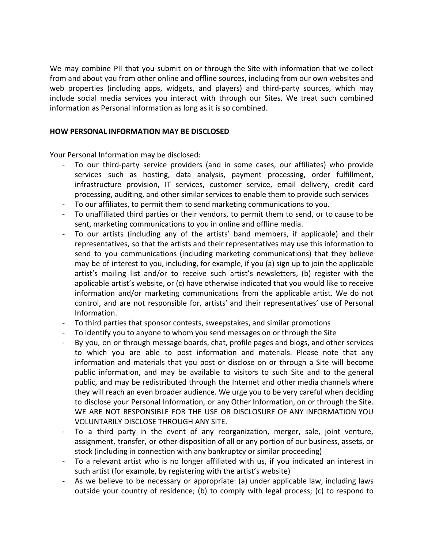We may combine PII that you submit on or through the Site with information that we collect from and about you from other online and offline sources, including from our own websites and web properties (including apps, widgets, and players) and third-party sources, which may include social media services you interact with through our Sites. We treat such combined information as Personal Information as long as it is so combined.

### **HOW PERSONAL INFORMATION MAY BE DISCLOSED**

Your Personal Information may be disclosed:

- To our third-party service providers (and in some cases, our affiliates) who provide services such as hosting, data analysis, payment processing, order fulfillment, infrastructure provision, IT services, customer service, email delivery, credit card processing, auditing, and other similar services to enable them to provide such services
- To our affiliates, to permit them to send marketing communications to you.
- To unaffiliated third parties or their vendors, to permit them to send, or to cause to be sent, marketing communications to you in online and offline media.
- To our artists (including any of the artists' band members, if applicable) and their representatives, so that the artists and their representatives may use this information to send to you communications (including marketing communications) that they believe may be of interest to you, including, for example, if you (a) sign up to join the applicable artist's mailing list and/or to receive such artist's newsletters, (b) register with the applicable artist's website, or (c) have otherwise indicated that you would like to receive information and/or marketing communications from the applicable artist. We do not control, and are not responsible for, artists' and their representatives' use of Personal Information.
- To third parties that sponsor contests, sweepstakes, and similar promotions
- To identify you to anyone to whom you send messages on or through the Site
- By you, on or through message boards, chat, profile pages and blogs, and other services to which you are able to post information and materials. Please note that any information and materials that you post or disclose on or through a Site will become public information, and may be available to visitors to such Site and to the general public, and may be redistributed through the Internet and other media channels where they will reach an even broader audience. We urge you to be very careful when deciding to disclose your Personal Information, or any Other Information, on or through the Site. WE ARE NOT RESPONSIBLE FOR THE USE OR DISCLOSURE OF ANY INFORMATION YOU VOLUNTARILY DISCLOSE THROUGH ANY SITE.
- To a third party in the event of any reorganization, merger, sale, joint venture, assignment, transfer, or other disposition of all or any portion of our business, assets, or stock (including in connection with any bankruptcy or similar proceeding)
- To a relevant artist who is no longer affiliated with us, if you indicated an interest in such artist (for example, by registering with the artist's website)
- As we believe to be necessary or appropriate: (a) under applicable law, including laws outside your country of residence; (b) to comply with legal process; (c) to respond to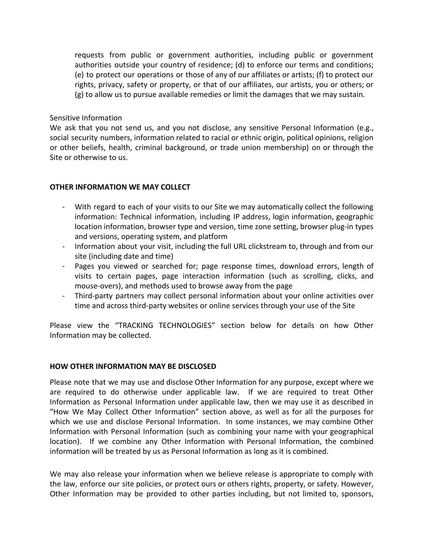requests from public or government authorities, including public or government authorities outside your country of residence; (d) to enforce our terms and conditions; (e) to protect our operations or those of any of our affiliates or artists; (f) to protect our rights, privacy, safety or property, or that of our affiliates, our artists, you or others; or (g) to allow us to pursue available remedies or limit the damages that we may sustain.

### Sensitive Information

We ask that you not send us, and you not disclose, any sensitive Personal Information (e.g., social security numbers, information related to racial or ethnic origin, political opinions, religion or other beliefs, health, criminal background, or trade union membership) on or through the Site or otherwise to us.

# **OTHER INFORMATION WE MAY COLLECT**

- With regard to each of your visits to our Site we may automatically collect the following information: Technical information, including IP address, login information, geographic location information, browser type and version, time zone setting, browser plug-in types and versions, operating system, and platform
- Information about your visit, including the full URL clickstream to, through and from our site (including date and time)
- Pages you viewed or searched for; page response times, download errors, length of visits to certain pages, page interaction information (such as scrolling, clicks, and mouse-overs), and methods used to browse away from the page
- Third-party partners may collect personal information about your online activities over time and across third-party websites or online services through your use of the Site

Please view the "TRACKING TECHNOLOGIES" section below for details on how Other Information may be collected.

### **HOW OTHER INFORMATION MAY BE DISCLOSED**

Please note that we may use and disclose Other Information for any purpose, except where we are required to do otherwise under applicable law. If we are required to treat Other Information as Personal Information under applicable law, then we may use it as described in "How We May Collect Other Information" section above, as well as for all the purposes for which we use and disclose Personal Information. In some instances, we may combine Other Information with Personal Information (such as combining your name with your geographical location). If we combine any Other Information with Personal Information, the combined information will be treated by us as Personal Information as long as it is combined.

We may also release your information when we believe release is appropriate to comply with the law, enforce our site policies, or protect ours or others rights, property, or safety. However, Other Information may be provided to other parties including, but not limited to, sponsors,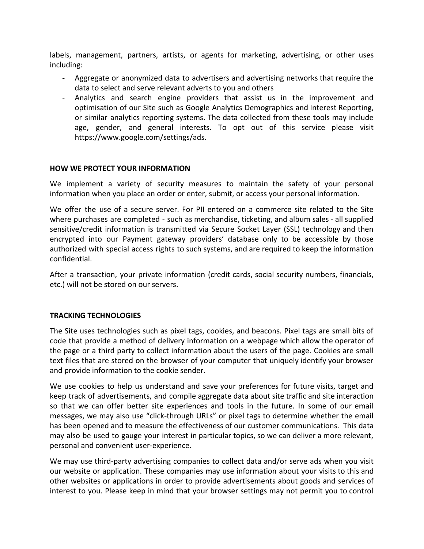labels, management, partners, artists, or agents for marketing, advertising, or other uses including:

- Aggregate or anonymized data to advertisers and advertising networks that require the data to select and serve relevant adverts to you and others
- Analytics and search engine providers that assist us in the improvement and optimisation of our Site such as Google Analytics Demographics and Interest Reporting, or similar analytics reporting systems. The data collected from these tools may include age, gender, and general interests. To opt out of this service please visit https://www.google.com/settings/ads.

### **HOW WE PROTECT YOUR INFORMATION**

We implement a variety of security measures to maintain the safety of your personal information when you place an order or enter, submit, or access your personal information.

We offer the use of a secure server. For PII entered on a commerce site related to the Site where purchases are completed - such as merchandise, ticketing, and album sales - all supplied sensitive/credit information is transmitted via Secure Socket Layer (SSL) technology and then encrypted into our Payment gateway providers' database only to be accessible by those authorized with special access rights to such systems, and are required to keep the information confidential.

After a transaction, your private information (credit cards, social security numbers, financials, etc.) will not be stored on our servers.

### **TRACKING TECHNOLOGIES**

The Site uses technologies such as pixel tags, cookies, and beacons. Pixel tags are small bits of code that provide a method of delivery information on a webpage which allow the operator of the page or a third party to collect information about the users of the page. Cookies are small text files that are stored on the browser of your computer that uniquely identify your browser and provide information to the cookie sender.

We use cookies to help us understand and save your preferences for future visits, target and keep track of advertisements, and compile aggregate data about site traffic and site interaction so that we can offer better site experiences and tools in the future. In some of our email messages, we may also use "click-through URLs" or pixel tags to determine whether the email has been opened and to measure the effectiveness of our customer communications. This data may also be used to gauge your interest in particular topics, so we can deliver a more relevant, personal and convenient user-experience.

We may use third-party advertising companies to collect data and/or serve ads when you visit our website or application. These companies may use information about your visits to this and other websites or applications in order to provide advertisements about goods and services of interest to you. Please keep in mind that your browser settings may not permit you to control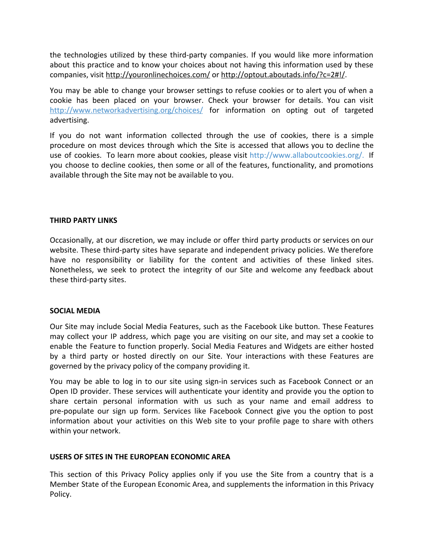the technologies utilized by these third-party companies. If you would like more information about this practice and to know your choices about not having this information used by these companies, visit <http://youronlinechoices.com/>or <http://optout.aboutads.info/?c=2#!/>.

You may be able to change your browser settings to refuse cookies or to alert you of when a cookie has been placed on your browser. Check your browser for details. You can visit <http://www.networkadvertising.org/choices/> for information on opting out of targeted advertising.

If you do not want information collected through the use of cookies, there is a simple procedure on most devices through which the Site is accessed that allows you to decline the use of cookies. To learn more about cookies, please visit <http://www.allaboutcookies.org/>. If you choose to decline cookies, then some or all of the features, functionality, and promotions available through the Site may not be available to you.

### **THIRD PARTY LINKS**

Occasionally, at our discretion, we may include or offer third party products or services on our website. These third-party sites have separate and independent privacy policies. We therefore have no responsibility or liability for the content and activities of these linked sites. Nonetheless, we seek to protect the integrity of our Site and welcome any feedback about these third-party sites.

#### **SOCIAL MEDIA**

Our Site may include Social Media Features, such as the Facebook Like button. These Features may collect your IP address, which page you are visiting on our site, and may set a cookie to enable the Feature to function properly. Social Media Features and Widgets are either hosted by a third party or hosted directly on our Site. Your interactions with these Features are governed by the privacy policy of the company providing it.

You may be able to log in to our site using sign-in services such as Facebook Connect or an Open ID provider. These services will authenticate your identity and provide you the option to share certain personal information with us such as your name and email address to pre-populate our sign up form. Services like Facebook Connect give you the option to post information about your activities on this Web site to your profile page to share with others within your network.

### **USERS OF SITES IN THE EUROPEAN ECONOMIC AREA**

This section of this Privacy Policy applies only if you use the Site from a country that is a Member State of the European Economic Area, and supplements the information in this Privacy Policy.